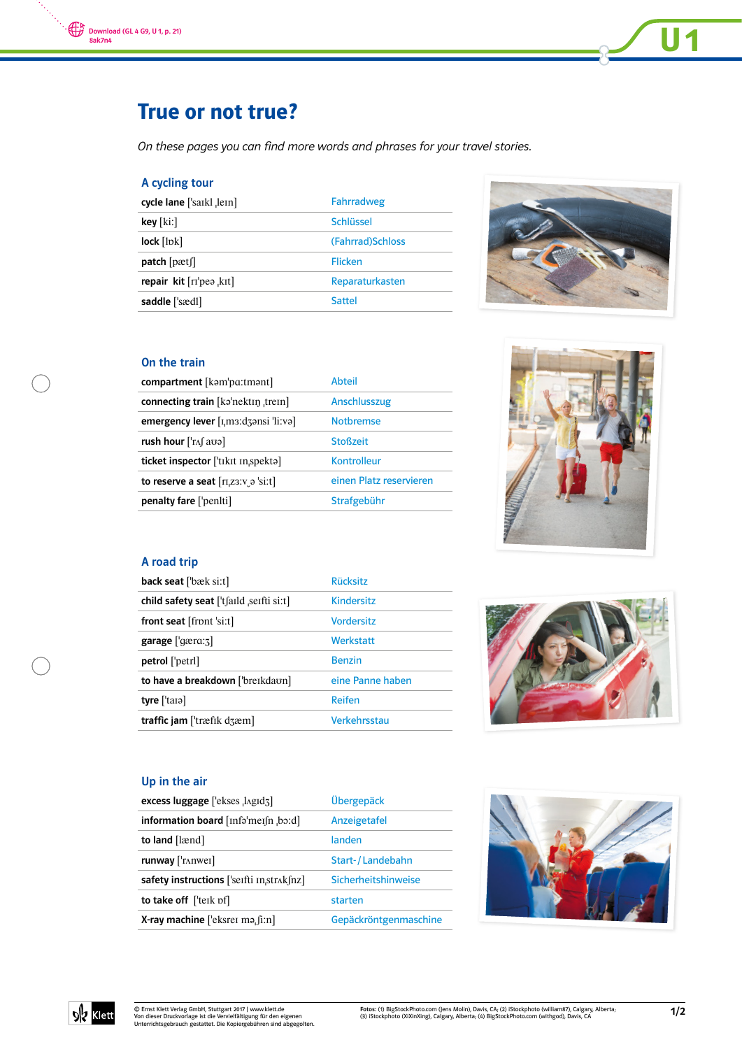

# True or not true?

On these pages you can find more words and phrases for your travel stories.

# A cycling tour

| cycle lane ['saikl lein]  | Fahrradweg        |
|---------------------------|-------------------|
| $key$ [ki:]               | Schlüssel         |
| $lock$ [ $lok$ ]          | (Fahrrad) Schloss |
| patch[pat[]               | Flicken           |
| repair kit $[rr]$ pea kit | Reparaturkasten   |
| saddle ['sædl]            | Sattel            |



 $\overline{U}$ 1

# On the train

| compartment [kəm'pa:tmənt]                                | Abteil                  |
|-----------------------------------------------------------|-------------------------|
| connecting train [kəˈnektɪŋ ˌtreɪn]                       | Anschlusszug            |
| emergency lever $[I, m3: d3]$                             | <b>Notbremse</b>        |
| rush hour $[\text{Tr}\int a\sigma a]$                     | <b>Stoßzeit</b>         |
| ticket inspector ['tɪkɪt ɪnˌspektə]                       | <b>Kontrolleur</b>      |
| to reserve a seat $\lceil r \rceil$ , $z \rceil$ o 'si:t] | einen Platz reservieren |
| penalty fare ['peniti]                                    | Strafgebühr             |



# A road trip

| <b>back seat</b> ['bæk si:t]                   | <b>Rücksitz</b>   |
|------------------------------------------------|-------------------|
| child safety seat ['t faild seifti si:t]       | <b>Kindersitz</b> |
| front seat $[front'si:t]$                      | <b>Vordersitz</b> |
| garage ['gærɑ:ʒ]                               | Werkstatt         |
| petrol ['petrl]                                | <b>Benzin</b>     |
| to have a breakdown ['breikdavn]               | eine Panne haben  |
| tyre $[$ tara]                                 | Reifen            |
| traffic jam [ $\text{træfik}$ d $\text{zem}$ ] | Verkehrsstau      |



#### Up in the air

| excess luggage ['ekses , lagid3]                                                        | Übergepäck            |
|-----------------------------------------------------------------------------------------|-----------------------|
| information board $[inf\circ'$ mei $[n, b\circ d]$                                      | Anzeigetafel          |
| to land [lænd]                                                                          | landen                |
| $runway$ [ $'runwei$ ]                                                                  | Start-/Landebahn      |
| safety instructions $[$ 'seifti $\text{in}$ , str $\lambda$ k $\text{in}$ z $\text{in}$ | Sicherheitshinweise   |
| to take off $[$ teik pf $]$                                                             | starten               |
| <b>X-ray machine</b> ['eksrer ma. $[i:n]$                                               | Gepäckröntgenmaschine |